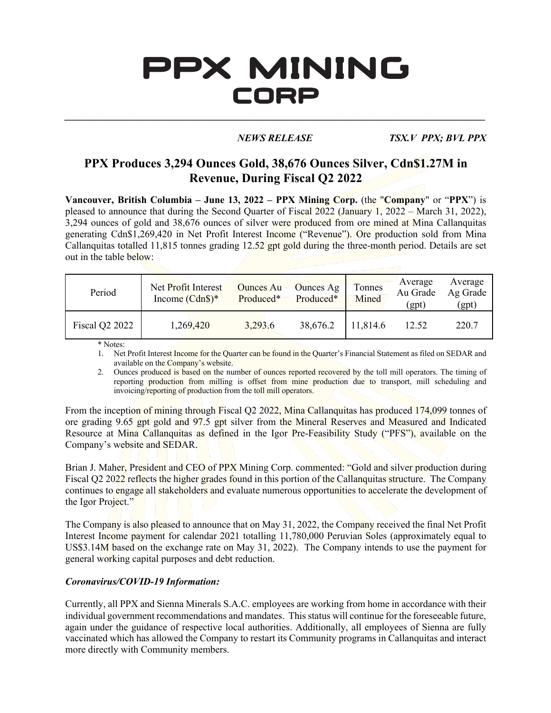# PPX MINING CORP

*\_\_\_\_\_\_\_\_\_\_\_\_\_\_\_\_\_\_\_\_\_\_\_\_\_\_\_\_\_\_\_\_\_\_\_\_\_\_\_\_\_\_\_\_\_\_\_\_\_\_\_\_\_\_\_\_\_\_\_\_\_\_\_\_\_\_\_\_\_\_\_\_\_\_\_\_\_\_\_\_\_\_\_\_\_*

*NEWS RELEASE TSX.V PPX; BVL PPX*

## **PPX Produces 3,294 Ounces Gold, 38,676 Ounces Silver, Cdn\$1.27M in Revenue, During Fiscal Q2 2022**

**Vancouver, British Columbia – June 13, 2022 – PPX Mining Corp.** (the "**Company**" or "**PPX**") is pleased to announce that during the Second Quarter of Fiscal 2022 (January 1, 2022 – March 31, 2022), 3,294 ounces of gold and 38,676 ounces of silver were produced from ore mined at Mina Callanquitas generating Cdn\$1,269,420 in Net Profit Interest Income ("Revenue"). Ore production sold from Mina Callanquitas totalled 11,815 tonnes grading 12.52 gpt gold during the three-month period. Details are set out in the table below:

| Period         | Net Profit Interest<br>Income $(Cdn\$ )* | Ounces Au-<br>Produced* | Ounces Ag<br>Produced* | Tonnes<br>Mined | Average<br>Au Grade<br>(gpt) | Average<br>Ag Grade<br>(gpt) |
|----------------|------------------------------------------|-------------------------|------------------------|-----------------|------------------------------|------------------------------|
| Fiscal Q2 2022 | 1,269,420                                | 3,293.6                 | 38,676.2               | 11,814.6        | 12.52                        | 220.7                        |

\* Notes:

1. Net Profit Interest Income for the Quarter can be found in the Quarter's Financial Statement as filed on SEDAR and available on the Company's website.

2. Ounces produced is based on the number of ounces reported recovered by the toll mill operators. The timing of reporting production from milling is offset from mine production due to transport, mill scheduling and invoicing/reporting of production from the toll mill operators.

From the inception of mining through Fiscal Q2 2022, Mina Callanquitas has produced 174,099 tonnes of ore grading 9.65 gpt gold and 97.5 gpt silver from the Mineral Reserves and Measured and Indicated Resource at Mina Callanquitas as defined in the Igor Pre-Feasibility Study ("PFS"), available on the Company's website and SEDAR.

Brian J. Maher, President and CEO of PPX Mining Corp. commented: "Gold and silver production during Fiscal Q2 2022 reflects the higher grades found in this portion of the Callanquitas structure. The Company continues to engage all stakeholders and evaluate numerous opportunities to accelerate the development of the Igor Project."

The Company is also pleased to announce that on May 31, 2022, the Company received the final Net Profit Interest Income payment for calendar 2021 totalling 11,780,000 Peruvian Soles (approximately equal to US\$3.14M based on the exchange rate on May 31, 2022). The Company intends to use the payment for general working capital purposes and debt reduction.

#### *Coronavirus/COVID-19 Information:*

Currently, all PPX and Sienna Minerals S.A.C. employees are working from home in accordance with their individual government recommendations and mandates. This status will continue for the foreseeable future, again under the guidance of respective local authorities. Additionally, all employees of Sienna are fully vaccinated which has allowed the Company to restart its Community programs in Callanquitas and interact more directly with Community members.